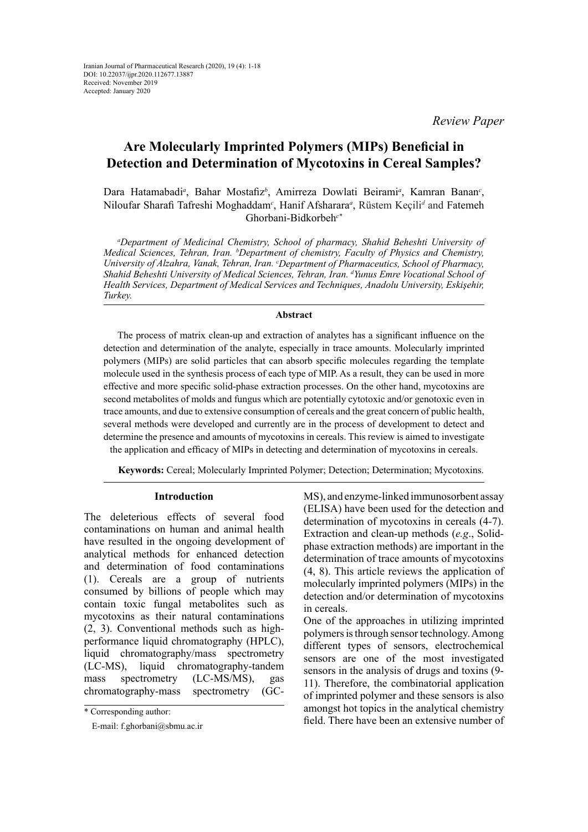*Review Paper*

# **Are Molecularly Imprinted Polymers (MIPs) Beneficial in Detection and Determination of Mycotoxins in Cereal Samples?**

Dara Hatamabadi<sup>a</sup>, Bahar Mostafiz<sup>b</sup>, Amirreza Dowlati Beirami<sup>a</sup>, Kamran Banan<sup>c</sup>, Niloufar Sharafi Tafreshi Moghaddam*<sup>c</sup>* , Hanif Afsharara*<sup>a</sup>* , Rüstem Keçili*<sup>d</sup>* and Fatemeh Ghorbani-Bidkorbeh*c\** 

*a Department of Medicinal Chemistry, School of pharmacy, Shahid Beheshti University of Medical Sciences, Tehran, Iran. b Department of chemistry, Faculty of Physics and Chemistry, University of Alzahra, Vanak, Tehran, Iran. c Department of Pharmaceutics, School of Pharmacy, Shahid Beheshti University of Medical Sciences, Tehran, Iran. d Yunus Emre Vocational School of Health Services, Department of Medical Services and Techniques, Anadolu University, Eskişehir, Turkey.*

# **Abstract**

The process of matrix clean-up and extraction of analytes has a significant influence on the detection and determination of the analyte, especially in trace amounts. Molecularly imprinted polymers (MIPs) are solid particles that can absorb specific molecules regarding the template molecule used in the synthesis process of each type of MIP. As a result, they can be used in more effective and more specific solid-phase extraction processes. On the other hand, mycotoxins are second metabolites of molds and fungus which are potentially cytotoxic and/or genotoxic even in trace amounts, and due to extensive consumption of cereals and the great concern of public health, several methods were developed and currently are in the process of development to detect and determine the presence and amounts of mycotoxins in cereals. This review is aimed to investigate the application and efficacy of MIPs in detecting and determination of mycotoxins in cereals.

**Keywords:** Cereal; Molecularly Imprinted Polymer; Detection; Determination; Mycotoxins.

## **Introduction**

The deleterious effects of several food contaminations on human and animal health have resulted in the ongoing development of analytical methods for enhanced detection and determination of food contaminations (1). Cereals are a group of nutrients consumed by billions of people which may contain toxic fungal metabolites such as mycotoxins as their natural contaminations (2, 3). Conventional methods such as highperformance liquid chromatography (HPLC), liquid chromatography/mass spectrometry (LC-MS), liquid chromatography-tandem mass spectrometry (LC-MS/MS), gas chromatography-mass spectrometry (GC-

MS), and enzyme-linked immunosorbent assay (ELISA) have been used for the detection and determination of mycotoxins in cereals (4-7). Extraction and clean-up methods (*e.g*., Solidphase extraction methods) are important in the determination of trace amounts of mycotoxins (4, 8). This article reviews the application of molecularly imprinted polymers (MIPs) in the detection and/or determination of mycotoxins in cereals.

One of the approaches in utilizing imprinted polymers is through sensor technology. Among different types of sensors, electrochemical sensors are one of the most investigated sensors in the analysis of drugs and toxins (9- 11). Therefore, the combinatorial application of imprinted polymer and these sensors is also amongst hot topics in the analytical chemistry field. There have been an extensive number of

<sup>\*</sup> Corresponding author:

E-mail: f.ghorbani@sbmu.ac.ir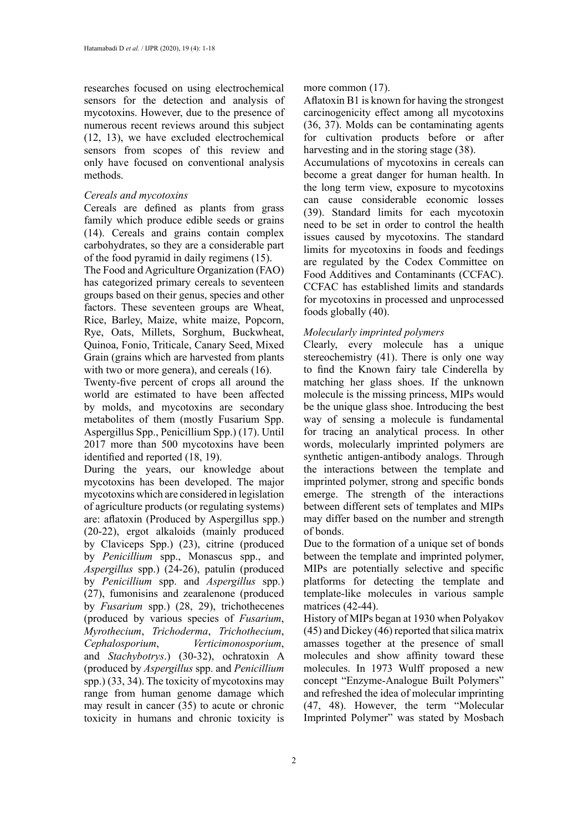researches focused on using electrochemical sensors for the detection and analysis of mycotoxins. However, due to the presence of numerous recent reviews around this subject (12, 13), we have excluded electrochemical sensors from scopes of this review and only have focused on conventional analysis methods.

#### *Cereals and mycotoxins*

Cereals are defined as plants from grass family which produce edible seeds or grains (14). Cereals and grains contain complex carbohydrates, so they are a considerable part of the food pyramid in daily regimens (15).

The Food and Agriculture Organization (FAO) has categorized primary cereals to seventeen groups based on their genus, species and other factors. These seventeen groups are Wheat, Rice, Barley, Maize, white maize, Popcorn, Rye, Oats, Millets, Sorghum, Buckwheat, Quinoa, Fonio, Triticale, Canary Seed, Mixed Grain (grains which are harvested from plants with two or more genera), and cereals  $(16)$ .

Twenty-five percent of crops all around the world are estimated to have been affected by molds, and mycotoxins are secondary metabolites of them (mostly Fusarium Spp. Aspergillus Spp., Penicillium Spp.) (17). Until 2017 more than 500 mycotoxins have been identified and reported (18, 19).

During the years, our knowledge about mycotoxins has been developed. The major mycotoxins which are considered in legislation of agriculture products (or regulating systems) are: aflatoxin (Produced by Aspergillus spp.) (20-22), ergot alkaloids (mainly produced by Claviceps Spp.) (23), citrine (produced by *Penicillium* spp., Monascus spp., and *Aspergillus* spp.) (24-26), patulin (produced by *Penicillium* spp. and *Aspergillus* spp.) (27), fumonisins and zearalenone (produced by *Fusarium* spp.) (28, 29), trichothecenes (produced by various species of *Fusarium*, *Myrothecium*, *Trichoderma*, *Trichothecium*, *Cephalosporium*, *Verticimonosporium*, and *Stachybotrys*.) (30-32), ochratoxin A (produced by *Aspergillus* spp. and *Penicillium* spp.) (33, 34). The toxicity of mycotoxins may range from human genome damage which may result in cancer (35) to acute or chronic toxicity in humans and chronic toxicity is

more common  $(17)$ .

Aflatoxin B1 is known for having the strongest carcinogenicity effect among all mycotoxins (36, 37). Molds can be contaminating agents for cultivation products before or after harvesting and in the storing stage (38).

Accumulations of mycotoxins in cereals can become a great danger for human health. In the long term view, exposure to mycotoxins can cause considerable economic losses (39). Standard limits for each mycotoxin need to be set in order to control the health issues caused by mycotoxins. The standard limits for mycotoxins in foods and feedings are regulated by the Codex Committee on Food Additives and Contaminants (CCFAC). CCFAC has established limits and standards for mycotoxins in processed and unprocessed foods globally (40).

# *Molecularly imprinted polymers*

Clearly, every molecule has a unique stereochemistry (41). There is only one way to find the Known fairy tale Cinderella by matching her glass shoes. If the unknown molecule is the missing princess, MIPs would be the unique glass shoe. Introducing the best way of sensing a molecule is fundamental for tracing an analytical process. In other words, molecularly imprinted polymers are synthetic antigen-antibody analogs. Through the interactions between the template and imprinted polymer, strong and specific bonds emerge. The strength of the interactions between different sets of templates and MIPs may differ based on the number and strength of bonds.

Due to the formation of a unique set of bonds between the template and imprinted polymer, MIPs are potentially selective and specific platforms for detecting the template and template-like molecules in various sample matrices (42-44).

History of MIPs began at 1930 when Polyakov (45) and Dickey (46) reported that silica matrix amasses together at the presence of small molecules and show affinity toward these molecules. In 1973 Wulff proposed a new concept "Enzyme-Analogue Built Polymers" and refreshed the idea of molecular imprinting (47, 48). However, the term "Molecular Imprinted Polymer" was stated by Mosbach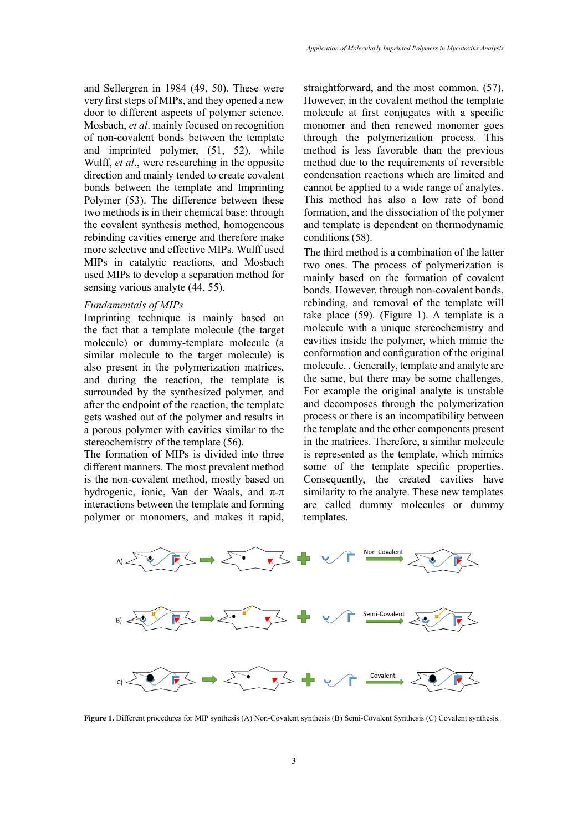and Sellergren in 1984 (49, 50). These were very first steps of MIPs, and they opened a new door to different aspects of polymer science. Mosbach, *et al*. mainly focused on recognition of non-covalent bonds between the template and imprinted polymer, (51, 52), while Wulff, *et al*., were researching in the opposite direction and mainly tended to create covalent bonds between the template and Imprinting Polymer (53). The difference between these two methods is in their chemical base; through the covalent synthesis method, homogeneous rebinding cavities emerge and therefore make more selective and effective MIPs. Wulff used MIPs in catalytic reactions, and Mosbach used MIPs to develop a separation method for sensing various analyte (44, 55).

#### *Fundamentals of MIPs*

Imprinting technique is mainly based on the fact that a template molecule (the target molecule) or dummy-template molecule (a similar molecule to the target molecule) is also present in the polymerization matrices, and during the reaction, the template is surrounded by the synthesized polymer, and after the endpoint of the reaction, the template gets washed out of the polymer and results in a porous polymer with cavities similar to the stereochemistry of the template (56).

The formation of MIPs is divided into three different manners. The most prevalent method is the non-covalent method, mostly based on hydrogenic, ionic, Van der Waals, and  $\pi$ -π interactions between the template and forming polymer or monomers, and makes it rapid,

straightforward, and the most common. (57). However, in the covalent method the template molecule at first conjugates with a specific monomer and then renewed monomer goes through the polymerization process. This method is less favorable than the previous method due to the requirements of reversible condensation reactions which are limited and cannot be applied to a wide range of analytes. This method has also a low rate of bond formation, and the dissociation of the polymer and template is dependent on thermodynamic conditions (58).

The third method is a combination of the latter two ones. The process of polymerization is mainly based on the formation of covalent bonds. However, through non-covalent bonds, rebinding, and removal of the template will take place (59). (Figure 1). A template is a molecule with a unique stereochemistry and cavities inside the polymer, which mimic the conformation and configuration of the original molecule. . Generally, template and analyte are the same, but there may be some challenges*,*  For example the original analyte is unstable and decomposes through the polymerization process or there is an incompatibility between the template and the other components present in the matrices. Therefore, a similar molecule is represented as the template, which mimics some of the template specific properties. Consequently, the created cavities have similarity to the analyte. These new templates are called dummy molecules or dummy templates.



**Figure 1.** Different procedures for MIP synthesis (A) Non-Covalent synthesis (B) Semi-Covalent Synthesis (C) Covalent synthesis.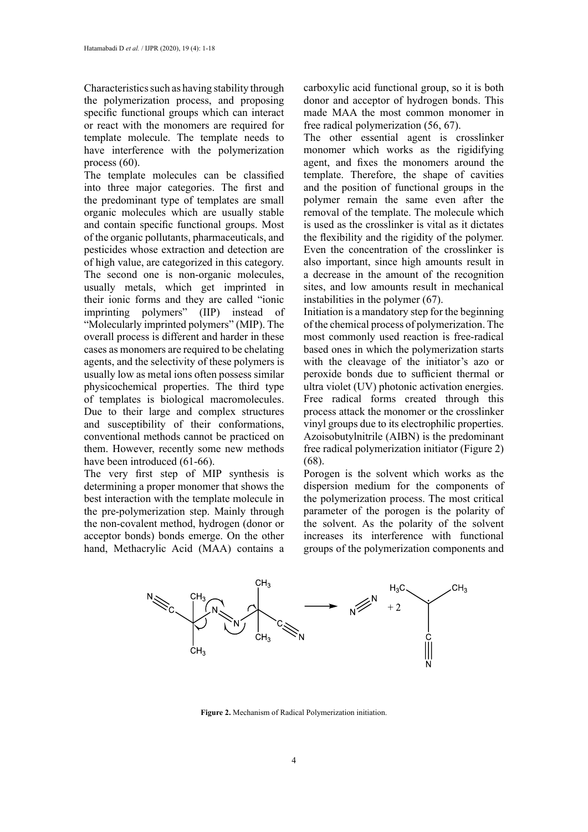Characteristics such as having stability through the polymerization process, and proposing specific functional groups which can interact or react with the monomers are required for template molecule. The template needs to have interference with the polymerization process (60).

The template molecules can be classified into three major categories. The first and the predominant type of templates are small organic molecules which are usually stable and contain specific functional groups. Most of the organic pollutants, pharmaceuticals, and pesticides whose extraction and detection are of high value, are categorized in this category. The second one is non-organic molecules, usually metals, which get imprinted in their ionic forms and they are called "ionic imprinting polymers" (IIP) instead of "Molecularly imprinted polymers" (MIP). The overall process is different and harder in these cases as monomers are required to be chelating agents, and the selectivity of these polymers is usually low as metal ions often possess similar physicochemical properties. The third type of templates is biological macromolecules. Due to their large and complex structures and susceptibility of their conformations, conventional methods cannot be practiced on them. However, recently some new methods have been introduced (61-66).

The very first step of MIP synthesis is determining a proper monomer that shows the best interaction with the template molecule in the pre-polymerization step. Mainly through the non-covalent method, hydrogen (donor or acceptor bonds) bonds emerge. On the other hand, Methacrylic Acid (MAA) contains a carboxylic acid functional group, so it is both donor and acceptor of hydrogen bonds. This made MAA the most common monomer in free radical polymerization (56, 67).

The other essential agent is crosslinker monomer which works as the rigidifying agent, and fixes the monomers around the template. Therefore, the shape of cavities and the position of functional groups in the polymer remain the same even after the removal of the template. The molecule which is used as the crosslinker is vital as it dictates the flexibility and the rigidity of the polymer. Even the concentration of the crosslinker is also important, since high amounts result in a decrease in the amount of the recognition sites, and low amounts result in mechanical instabilities in the polymer (67).

Initiation is a mandatory step for the beginning of the chemical process of polymerization. The most commonly used reaction is free-radical based ones in which the polymerization starts with the cleavage of the initiator's azo or peroxide bonds due to sufficient thermal or ultra violet (UV) photonic activation energies. Free radical forms created through this process attack the monomer or the crosslinker vinyl groups due to its electrophilic properties. Azoisobutylnitrile (AIBN) is the predominant free radical polymerization initiator (Figure 2) (68).

Porogen is the solvent which works as the dispersion medium for the components of the polymerization process. The most critical parameter of the porogen is the polarity of the solvent. As the polarity of the solvent increases its interference with functional groups of the polymerization components and



**Figure 2.** Mechanism of Radical Polymerization initiation.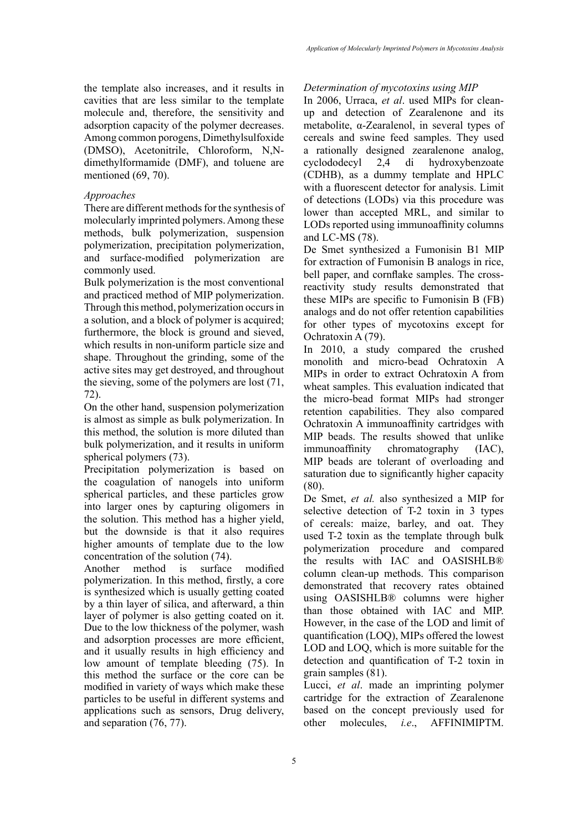the template also increases, and it results in cavities that are less similar to the template molecule and, therefore, the sensitivity and adsorption capacity of the polymer decreases. Among common porogens, Dimethylsulfoxide (DMSO), Acetonitrile, Chloroform, N,Ndimethylformamide (DMF), and toluene are mentioned (69, 70).

# *Approaches*

There are different methods for the synthesis of molecularly imprinted polymers. Among these methods, bulk polymerization, suspension polymerization, precipitation polymerization, and surface-modified polymerization are commonly used.

Bulk polymerization is the most conventional and practiced method of MIP polymerization. Through this method, polymerization occurs in a solution, and a block of polymer is acquired; furthermore, the block is ground and sieved, which results in non-uniform particle size and shape. Throughout the grinding, some of the active sites may get destroyed, and throughout the sieving, some of the polymers are lost (71, 72).

On the other hand, suspension polymerization is almost as simple as bulk polymerization. In this method, the solution is more diluted than bulk polymerization, and it results in uniform spherical polymers (73).

Precipitation polymerization is based on the coagulation of nanogels into uniform spherical particles, and these particles grow into larger ones by capturing oligomers in the solution. This method has a higher yield, but the downside is that it also requires higher amounts of template due to the low concentration of the solution (74).

Another method is surface modified polymerization. In this method, firstly, a core is synthesized which is usually getting coated by a thin layer of silica, and afterward, a thin layer of polymer is also getting coated on it. Due to the low thickness of the polymer, wash and adsorption processes are more efficient, and it usually results in high efficiency and low amount of template bleeding (75). In this method the surface or the core can be modified in variety of ways which make these particles to be useful in different systems and applications such as sensors, Drug delivery, and separation (76, 77).

# *Determination of mycotoxins using MIP*

In 2006, Urraca, *et al*. used MIPs for cleanup and detection of Zearalenone and its metabolite, α-Zearalenol, in several types of cereals and swine feed samples. They used a rationally designed zearalenone analog, cyclododecyl 2,4 di hydroxybenzoate (CDHB), as a dummy template and HPLC with a fluorescent detector for analysis. Limit of detections (LODs) via this procedure was lower than accepted MRL, and similar to LODs reported using immunoaffinity columns and LC-MS (78).

De Smet synthesized a Fumonisin B1 MIP for extraction of Fumonisin B analogs in rice, bell paper, and cornflake samples. The crossreactivity study results demonstrated that these MIPs are specific to Fumonisin B (FB) analogs and do not offer retention capabilities for other types of mycotoxins except for Ochratoxin A (79).

In 2010, a study compared the crushed monolith and micro-bead Ochratoxin A MIPs in order to extract Ochratoxin A from wheat samples. This evaluation indicated that the micro-bead format MIPs had stronger retention capabilities. They also compared Ochratoxin A immunoaffinity cartridges with MIP beads. The results showed that unlike immunoaffinity chromatography (IAC), MIP beads are tolerant of overloading and saturation due to significantly higher capacity (80).

De Smet, *et al.* also synthesized a MIP for selective detection of T-2 toxin in 3 types of cereals: maize, barley, and oat. They used T-2 toxin as the template through bulk polymerization procedure and compared the results with IAC and OASISHLB® column clean-up methods. This comparison demonstrated that recovery rates obtained using OASISHLB® columns were higher than those obtained with IAC and MIP. However, in the case of the LOD and limit of quantification (LOQ), MIPs offered the lowest LOD and LOQ, which is more suitable for the detection and quantification of T-2 toxin in grain samples (81).

Lucci, *et al*. made an imprinting polymer cartridge for the extraction of Zearalenone based on the concept previously used for other molecules, *i.e*., AFFINIMIPTM.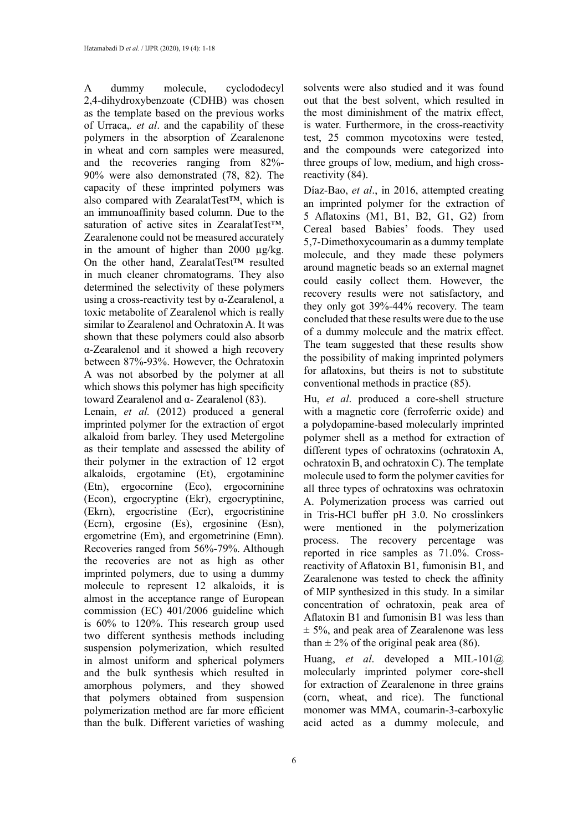A dummy molecule, cyclododecyl 2,4-dihydroxybenzoate (CDHB) was chosen as the template based on the previous works of Urraca,*. et al*. and the capability of these polymers in the absorption of Zearalenone in wheat and corn samples were measured, and the recoveries ranging from 82%- 90% were also demonstrated (78, 82). The capacity of these imprinted polymers was also compared with ZearalatTest™, which is an immunoaffinity based column. Due to the saturation of active sites in ZearalatTest<sup>™</sup>, Zearalenone could not be measured accurately in the amount of higher than 2000 µg/kg. On the other hand, ZearalatTest™ resulted in much cleaner chromatograms. They also determined the selectivity of these polymers using a cross-reactivity test by α-Zearalenol, a toxic metabolite of Zearalenol which is really similar to Zearalenol and Ochratoxin A. It was shown that these polymers could also absorb α-Zearalenol and it showed a high recovery between 87%-93%. However, the Ochratoxin A was not absorbed by the polymer at all which shows this polymer has high specificity toward Zearalenol and α- Zearalenol (83).

Lenain, *et al.* (2012) produced a general imprinted polymer for the extraction of ergot alkaloid from barley. They used Metergoline as their template and assessed the ability of their polymer in the extraction of 12 ergot alkaloids, ergotamine (Et), ergotaminine (Etn), ergocornine (Eco), ergocorninine (Econ), ergocryptine (Ekr), ergocryptinine, (Ekrn), ergocristine (Ecr), ergocristinine (Ecrn), ergosine (Es), ergosinine (Esn), ergometrine (Em), and ergometrinine (Emn). Recoveries ranged from 56%-79%. Although the recoveries are not as high as other imprinted polymers, due to using a dummy molecule to represent 12 alkaloids, it is almost in the acceptance range of European commission (EC) 401/2006 guideline which is 60% to 120%. This research group used two different synthesis methods including suspension polymerization, which resulted in almost uniform and spherical polymers and the bulk synthesis which resulted in amorphous polymers, and they showed that polymers obtained from suspension polymerization method are far more efficient than the bulk. Different varieties of washing solvents were also studied and it was found out that the best solvent, which resulted in the most diminishment of the matrix effect, is water. Furthermore, in the cross-reactivity test, 25 common mycotoxins were tested, and the compounds were categorized into three groups of low, medium, and high crossreactivity (84).

Díaz-Bao, *et al*., in 2016, attempted creating an imprinted polymer for the extraction of 5 Aflatoxins (M1, B1, B2, G1, G2) from Cereal based Babies' foods. They used 5,7-Dimethoxycoumarin as a dummy template molecule, and they made these polymers around magnetic beads so an external magnet could easily collect them. However, the recovery results were not satisfactory, and they only got 39%-44% recovery. The team concluded that these results were due to the use of a dummy molecule and the matrix effect. The team suggested that these results show the possibility of making imprinted polymers for aflatoxins, but theirs is not to substitute conventional methods in practice (85).

Hu, *et al*. produced a core-shell structure with a magnetic core (ferroferric oxide) and a polydopamine-based molecularly imprinted polymer shell as a method for extraction of different types of ochratoxins (ochratoxin A, ochratoxin B, and ochratoxin C). The template molecule used to form the polymer cavities for all three types of ochratoxins was ochratoxin A. Polymerization process was carried out in Tris-HCl buffer pH 3.0. No crosslinkers were mentioned in the polymerization process. The recovery percentage was reported in rice samples as 71.0%. Crossreactivity of Aflatoxin B1, fumonisin B1, and Zearalenone was tested to check the affinity of MIP synthesized in this study. In a similar concentration of ochratoxin, peak area of Aflatoxin B1 and fumonisin B1 was less than  $\pm$  5%, and peak area of Zearalenone was less than  $\pm$  2% of the original peak area (86).

Huang, *et al*. developed a MIL-101@ molecularly imprinted polymer core-shell for extraction of Zearalenone in three grains (corn, wheat, and rice). The functional monomer was MMA, coumarin-3-carboxylic acid acted as a dummy molecule, and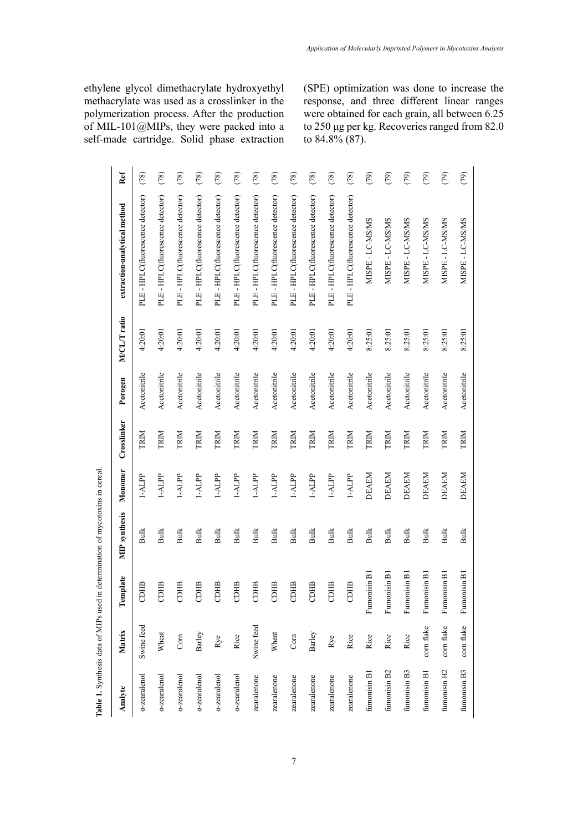ethylene glycol dimethacrylate hydroxyethyl methacrylate was used as a crosslinker in the polymerization process. After the production of MIL-101@MIPs, they were packed into a self-made cartridge. Solid phase extraction

**Table1.** Synthesis data of MIPs used in determination of mycotoxins in cereal.

Table 1. Synthesis data of MIPs used in determination of mycotoxins in cereal. **Table 1.** Synthesis data of MIPs used in determination of mycotoxins in cereal.

(SPE) optimization was done to increase the response, and three different linear ranges were obtained for each grain, all between 6.25 to 250 μg per kg. Recoveries ranged from 82.0 to 84.8% (87).

| Analyte      | Matrix     | Template     | <b>MIP</b> synthesis | Monomer      | Crosslinker | Porogen      | M/CL/T ratio | extraction-analytical method       | Ref  |
|--------------|------------|--------------|----------------------|--------------|-------------|--------------|--------------|------------------------------------|------|
| a-zearalenol | Swine feed | CDHB         | Bulk                 | 1-ALPP       | TRIM        | Acetonitrile | 4:20:01      | PLE - HPLC(fluorescence detector)  | (78) |
| a-zearalenol | Wheat      | CDHB         | <b>Bulk</b>          | $1 - ALP$    | TRIM        | Acetonitrile | 4:20:01      | PLE - HPLC(fluorescence detector)  | (78) |
| a-zearalenol | Com        | CDHB         | <b>Bulk</b>          | 1-ALPP       | TRIM        | Acetonitrile | 4:20:01      | PLE - HPLC(fluorescence detector)  | (78) |
| a-zearalenol | Barley     | CDHB         | <b>Bulk</b>          | 1-ALPP       | TRIM        | Acetonitrile | 4:20:01      | PLE - HPLC(fluorescence detector)  | (78) |
| a-zearalenol | Rye        | CDHB         | <b>Bulk</b>          | 1-ALPP       | TRIM        | Acetonitrile | 4:20:01      | PLE - HPLC(fluorescence detector)  | (78) |
| a-zearalenol | Rice       | CDHB         | <b>Bulk</b>          | 1-ALPP       | TRIM        | Acetonitrile | 4:20:01      | PLE - HPLC (fluorescence detector) | (78) |
| zearalenone  | Swine feed | CDHB         | <b>Bulk</b>          | 1-ALPP       | TRIM        | Acetonitrile | 4:20:01      | PLE - HPLC(fluorescence detector)  | (78) |
| zearalenone  | Wheat      | CDHB         | <b>Bulk</b>          | 1-ALPP       | TRIM        | Acetonitrile | 4:20:01      | PLE - HPLC (fluorescence detector) | (78) |
| zearalenone  | Com        | CDHB         | <b>Bulk</b>          | 1-ALPP       | TRIM        | Acetonitrile | 4:20:01      | PLE - HPLC(fluorescence detector)  | (78) |
| zearalenone  | Barley     | CDHB         | <b>Bulk</b>          | 1-ALPP       | TRIM        | Acetonitrile | 4:20:01      | PLE - HPLC (fluorescence detector) | (78) |
| zearalenone  | Rye        | CDHB         | <b>Bulk</b>          | 1-ALPP       | TRIM        | Acetonitrile | 4:20:01      | PLE - HPLC(fluorescence detector)  | (78) |
| zearalenone  | Rice       | CDHB         | Bulk                 | 1-ALPP       | TRIM        | Acetonitrile | 4:20:01      | PLE - HPLC(fluorescence detector)  | (78) |
| fumonisin B1 | Rice       | Fumonisin B1 | <b>Bulk</b>          | <b>DEAEM</b> | TRIM        | Acetonitrile | 8:25:01      | MISPE - LC-MS/MS                   | (79) |
| fumonisin B2 | Rice       | Fumonisin B1 | <b>Bulk</b>          | <b>DEAEM</b> | <b>TRIM</b> | Acetonitrile | 8:25:01      | MISPE - LC-MS/MS                   | (79) |
| fumonisin B3 | Rice       | Fumonisin B1 | <b>Bulk</b>          | DEAEM        | TRIM        | Acetonitrile | 8:25:01      | MISPE - LC-MS/MS                   | (79) |
| fumonisin B1 | corn flake | Fumonisin B1 | Bulk                 | <b>DEAEM</b> | TRIM        | Acetonitrile | 8:25:01      | MISPE - LC-MS/MS                   | (79) |
| fumonisin B2 | corn flake | Fumonisin B1 | <b>Bulk</b>          | <b>DEAEM</b> | TRIM        | Acetonitrile | 8:25:01      | MISPE - LC-MS/MS                   | (79) |
| fumonisin B3 | corn flake | Fumonisin B1 | <b>Bulk</b>          | <b>DEAEM</b> | TRIM        | Acetonitrile | 8:25:01      | MISPE - LC-MS/MS                   | (79) |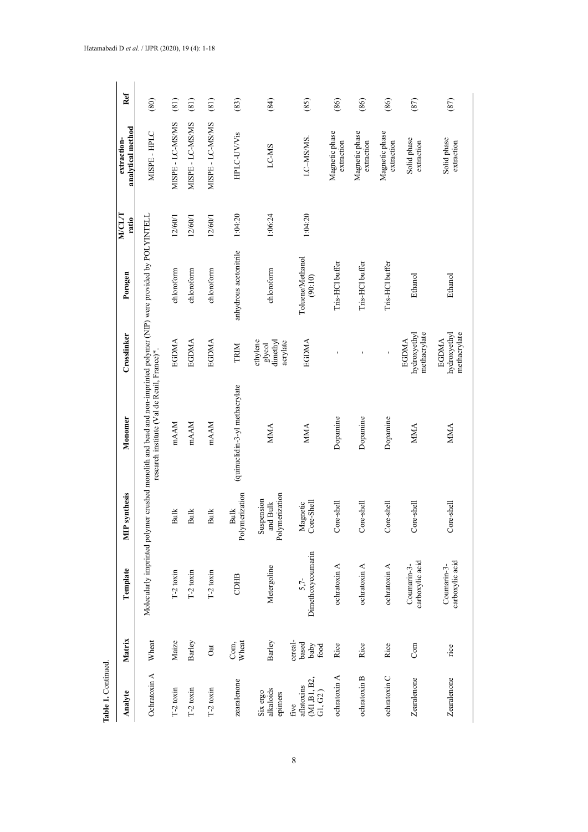| Table 1. Continued.                                               |                                  |                                |                                          |                                                                                                                                                                    |                                              |                             |                        |                                  |      |
|-------------------------------------------------------------------|----------------------------------|--------------------------------|------------------------------------------|--------------------------------------------------------------------------------------------------------------------------------------------------------------------|----------------------------------------------|-----------------------------|------------------------|----------------------------------|------|
| Analyte                                                           | Matrix                           | Template                       | synthesis<br>È                           | Monomer                                                                                                                                                            | Crosslinker                                  | Porogen                     | <b>NICL/T</b><br>ratio | analytical method<br>extraction- | Ref  |
| Ochratoxin A                                                      | Wheat                            |                                |                                          | Molecularly imprinted polymer crushed monolith and bead and non-imprinted polymer (NIP) were provided by POLYINTELL<br>research institute (Val de Reuil, France)*. |                                              |                             |                        | MISPE-HPLC                       | (80) |
| $T-2$ toxin                                                       | Maize                            | $T-2$ toxin                    | <b>Bulk</b>                              | mAAM                                                                                                                                                               | <b>EGDMA</b>                                 | chloroform                  | 12/60/1                | MISPE - LC-MS/MS                 | (81) |
| $T-2$ toxin                                                       | Barley                           | $T-2$ toxin                    | <b>Bulk</b>                              | mAAM                                                                                                                                                               | EGDMA                                        | chloroform                  | 12/60/1                | MISPE - LC-MS/MS                 | (81) |
| $T-2$ toxin                                                       | <b>Oat</b>                       | $T-2$ toxin                    | <b>Bulk</b>                              | mAAM                                                                                                                                                               | <b>EGDMA</b>                                 | chloroform                  | 12/60/1                | MISPE - LC-MS/MS                 | (81) |
| zearalenone                                                       | Wheat<br>Com,                    | CDHB                           | Polymerization<br><b>Bulk</b>            | (quinuclidin-3-yl methacrylate                                                                                                                                     | TRIM                                         | anhydrous acetonitrile      | 1:04:20                | HPLC-UV/Vis                      | (83) |
| alkaloids<br>Six ergo<br>epimers                                  | Barley                           | Metergoline                    | Polymerization<br>Suspension<br>and Bulk | <b>MMA</b>                                                                                                                                                         | ethylene<br>glycol<br>dinethyl<br>acrylate   | chloroform                  | 1:06:24                | LC-MS                            | (84) |
| (M1, B1, B2,<br>aflatoxins<br>$\mathrm{G}1,\mathrm{G}2$ )<br>five | cereal-<br>based<br>baby<br>food | Dimethoxycoumarin<br>$5.7-$    | Magnetic<br>Core-Shell                   | <b>MMA</b>                                                                                                                                                         | EGDMA                                        | Toluene/Methanol<br>(90:10) | 1:04:20                | LC-MS/MS.                        | (85) |
| ochratoxin A                                                      | Rice                             | ochratoxin A                   | Core-shell                               | Dopamine                                                                                                                                                           | ı                                            | Tris-HCl buffer             |                        | Magnetic phase<br>extraction     | (86) |
| ochratoxin B                                                      | Rice                             | ochratoxin A                   | Core-shell                               | Dopamine                                                                                                                                                           | $\blacksquare$                               | Tris-HCl buffer             |                        | Magnetic phase<br>extraction     | (86) |
| ochratoxin C                                                      | Rice                             | ochratoxin A                   | Core-shell                               | Dopamine                                                                                                                                                           | ı                                            | Tris-HCl buffer             |                        | Magnetic phase<br>extraction     | (86) |
| Zearalenone                                                       | Com                              | carboxylic acid<br>Coumarin-3- | Core-shel                                | <b>MMA</b>                                                                                                                                                         | methacrylate<br>hydroxyethyl<br><b>EGDMA</b> | Ethanol                     |                        | Solid phase<br>extraction        | (87) |
| Zearalenone                                                       | $\vec{n}$ ce                     | carboxylic acid<br>Coumarin-3- | Core-shell                               | <b>MMA</b>                                                                                                                                                         | methacrylate<br>hydroxyethyl<br><b>EGDMA</b> | Ethanol                     |                        | Solid phase<br>extraction        | (87) |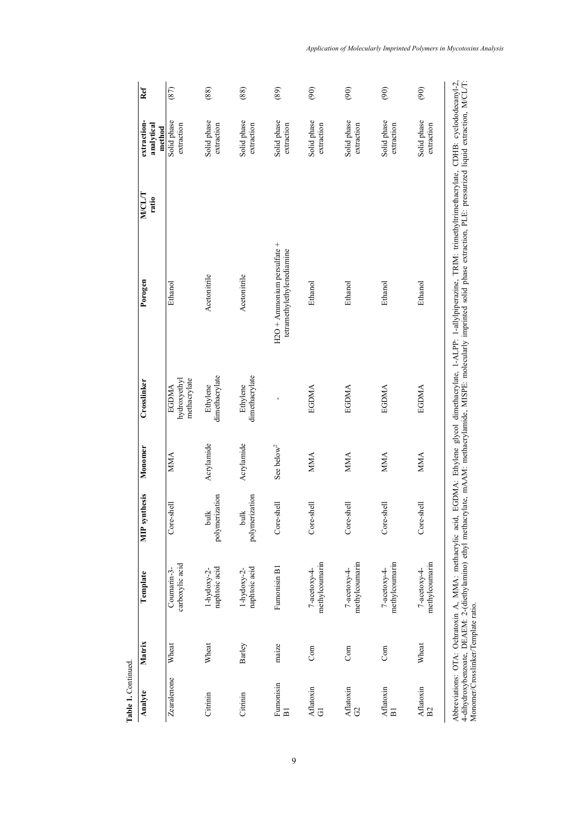| Table 1. Continued.         |                                     |                                |                        |                        |                                              |                                                                                                                                                                                                                                                                                                                                                                               |                        |                                     |               |
|-----------------------------|-------------------------------------|--------------------------------|------------------------|------------------------|----------------------------------------------|-------------------------------------------------------------------------------------------------------------------------------------------------------------------------------------------------------------------------------------------------------------------------------------------------------------------------------------------------------------------------------|------------------------|-------------------------------------|---------------|
| Analyte                     | Matrix                              | Template                       | <b>MIP</b> synthesis   | Monomer                | Crosslinker                                  | Porogen                                                                                                                                                                                                                                                                                                                                                                       | <b>NACLIT</b><br>ratio | extraction-<br>analytical<br>method | Ref           |
| Zearalenone                 | Wheat                               | carboxylic acid<br>Coumarin-3- | Core-shell             | <b>MMA</b>             | methacrylate<br>hydroxyethyl<br><b>EGDMA</b> | Ethanol                                                                                                                                                                                                                                                                                                                                                                       |                        | Solid phase<br>extraction           | (87)          |
| Citrinin                    | Wheat                               | naphtoic acid<br>$1-hydoxy-2-$ | polymerization<br>bulk | Acrylamide             | dimethacrylate<br>Ethylene                   | Acetonitrile                                                                                                                                                                                                                                                                                                                                                                  |                        | Solid phase<br>extraction           | (88)          |
| Citrinin                    | Barley                              | naphtoic acid<br>1-hydoxy-2-   | polymerization<br>bulk | Acrylamide             | dimethacrylate<br>Ethylene                   | Acetonitrile                                                                                                                                                                                                                                                                                                                                                                  |                        | Solid phase<br>extraction           | (88)          |
| Fumonisin<br>$\overline{B}$ | maize                               | Fumonisin B1                   | Core-shell             | See below <sup>2</sup> |                                              | $H2O +$ Ammonium persulfate +<br>tetramethylethylenediamine                                                                                                                                                                                                                                                                                                                   |                        | Solid phase<br>extraction           | (89)          |
| Aflatoxin<br>$\overline{G}$ | Corn                                | methylcoumarin<br>7-acetoxy-4- | Core-shell             | <b>MMA</b>             | <b>EGDMA</b>                                 | Ethanol                                                                                                                                                                                                                                                                                                                                                                       |                        | Solid phase<br>extraction           | (90)          |
| Aflatoxin<br>$\Im$          | Corn                                | methylcoumarin<br>7-acetoxy-4- | Core-shell             | <b>MMA</b>             | EGDMA                                        | Ethanol                                                                                                                                                                                                                                                                                                                                                                       |                        | Solid phase<br>extraction           | (90)          |
| Aflatoxin<br>$\overline{B}$ | Corn                                | methylcoumarin<br>7-acetoxy-4- | Core-shell             | <b>MMA</b>             | <b>EGDMA</b>                                 | Ethanol                                                                                                                                                                                                                                                                                                                                                                       |                        | Solid phase<br>extraction           | (90)          |
| Aflatoxin<br>B <sub>2</sub> | Wheat                               | methylcoumarin<br>7-acetoxy-4- | Core-shell             | <b>MMA</b>             | <b>EGDMA</b>                                 | Ethanol                                                                                                                                                                                                                                                                                                                                                                       |                        | Solid phase<br>extraction           | $\widehat{5}$ |
|                             | Monomer/Crosslinker/Template ratio. |                                |                        |                        |                                              | Abbreviations: OTA: Ochratoxin A, MMA: methacrylic acid, EGDMA: Ethylene glycol dimethacrylate, 1-ALPP: 1-allylpiperazine, TRIM: trimethyltrimethacrylate, CDHB: cyclododecanyl-2,<br>4-dihydroxybenzoate, DEAEM: 2-(diethylamino) ethyl methacrylate, mAAM: methacrylamide, MISPE: molecularly imprinted solid phase extraction, PLE: pressurized liquid extraction, M/CL/T: |                        |                                     |               |

*Application of Molecularly Imprinted Polymers in Mycotoxins Analysis*

dihydroxybenzoate, DEAEM: 2-(diethylamino) ethyl methacrylate, mAAM: methacrylamide, MISPE: molecularly imprinted solid phase extraction, PLE: pressurized liquid extraction, M/CL/T:

9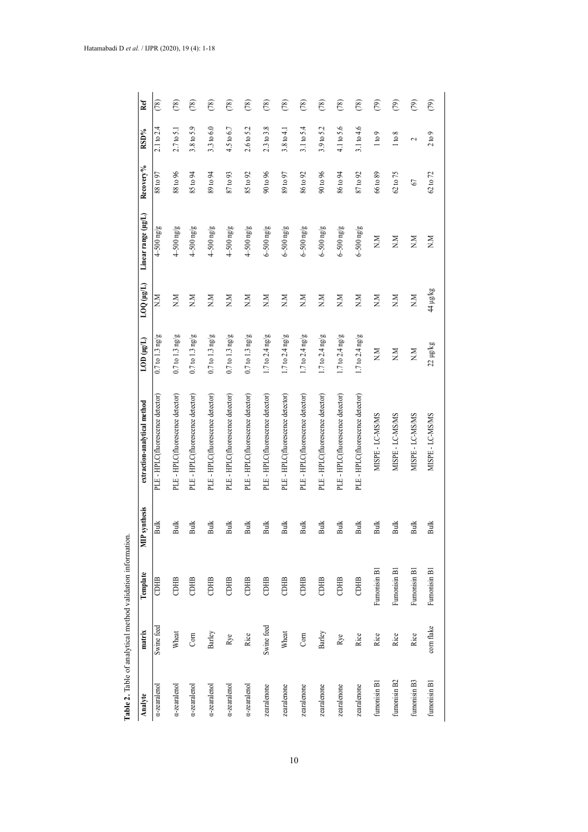|              |            | Table 2. Table of analytical method validation information |                |                                   |                     |                           |                     |           |                          |                           |
|--------------|------------|------------------------------------------------------------|----------------|-----------------------------------|---------------------|---------------------------|---------------------|-----------|--------------------------|---------------------------|
| Analyte      | matrix     | Template                                                   | synthesis<br>Ê | extraction-analytical method      | LOD (µg/L)          | LOQ (µg/L)                | Linear range (µg/L) | Recovery% | RSD%                     | Ref                       |
| a-zearalenol | Swine feed | CDHB                                                       | Bulk           | PLE - HPLC(fluorescence detector) | $0.7$ to $1.3$ ng/g | $\mathbb{R}^{\mathbb{N}}$ | $4-500$ ng/g        | 88 to 97  | $2.1 \text{ to } 2.4$    | (78)                      |
| a-zearalenol | Wheat      | CDHB                                                       | <b>Bulk</b>    | PLE - HPLC(fluorescence detector) | $0.7$ to $1.3$ ng/g | NN                        | $4-500$ ng/g        | 88 to 96  | $2.7 \text{ to } 5.1$    | (78)                      |
| a-zearalenol | Com        | CDHB                                                       | <b>Bulk</b>    | PLE - HPLC(fluorescence detector) | $0.7$ to $1.3$ ng/g | $N_{\rm N}$               | $4-500$ ng/g        | 85 to 94  | 3.8 to 5.9               | (78)                      |
| a-zearalenol | Barley     | CDHB                                                       | <b>Bulk</b>    | PLE - HPLC(fluorescence detector) | $0.7$ to $1.3$ ng/g | NN                        | $4-500$ ng/g        | 89 to 94  | 3.3 to 6.0               | (78)                      |
| a-zearalenol | Rye        | CDHB                                                       | <b>Bulk</b>    | PLE - HPLC(fluorescence detector) | $0.7$ to $1.3$ ng/g | NN                        | $4 - 500$ ng/g      | 87 to 93  | 4.5 to 6.7               | (78)                      |
| a-zearalenol | Rice       | CDHB                                                       | <b>Bulk</b>    | PLE - HPLC(fluorescence detector) | $0.7$ to $1.3$ ng/g | NN                        | $4-500$ ng/g        | 85 to 92  | 2.6 to 5.2               | (78)                      |
| zearalenone  | Swine feed | CDHB                                                       | Bulk           | PLE - HPLC(fluorescence detector) | $1.7$ to $2.4$ ng/g | NN                        | $6 - 500$ ng/g      | 90 to 96  | $2.3$ to $3.8$           | (78)                      |
| zearalenone  | Wheat      | CDHB                                                       | <b>Bulk</b>    | PLE - HPLC(fluorescence detector) | $1.7$ to $2.4$ ng/g | MN                        | $6 - 500$ ng/g      | 89 to 97  | 3.8 to 4.1               | (78)                      |
| zearalenone  | Com        | CDHB                                                       | Bulk           | PLE - HPLC(fluorescence detector) | $1.7$ to $2.4$ ng/g | NN                        | $6 - 500$ ng/g      | 86 to 92  | 3.1 to 5.4               | (78)                      |
| zearalenone  | Barley     | CDHB                                                       | Bulk           | PLE - HPLC(fluorescence detector) | $1.7$ to $2.4$ ng/g | NN                        | $6 - 500$ ng/g      | 90 to 96  | 3.9 to 5.2               | (78)                      |
| zearalenone  | Rye        | CDHB                                                       | <b>Bulk</b>    | PLE - HPLC(fluorescence detector) | $1.7$ to $2.4$ ng/g | NN                        | $6 - 500$ ng/g      | 86 to 94  | 4.1 to 5.6               | (78)                      |
| zearalenone  | Rice       | CDHB                                                       | Bulk           | PLE - HPLC(fluorescence detector) | $1.7$ to $2.4$ ng/g | NN                        | $6 - 500$ ng/g      | 87 to 92  | $3.1$ to $4.6$           | (78)                      |
| fumonisin B1 | Rice       | Fumonisin B1                                               | Bulk           | MISPE-LC-MSMS                     | NN                  | NN                        | NN                  | 66 to 89  | 1 to 9                   | (79)                      |
| fumonisin B2 | Rice       | Fumonisin B1                                               | <b>Bulk</b>    | MISPE - LC-MS/MS                  | NN                  | NN                        | NN                  | 62 to 75  | 1 to 8                   | (2)                       |
| fumonisin B3 | Rice       | Fumonisin B1                                               | Bulk           | MISPE - LC-MS/MS                  | $\overline{N}N$     | $\sum_{i=1}^{n}$          | $N_{\rm N}$         | 67        | $\overline{\mathcal{C}}$ | $\widehat{(\mathcal{E})}$ |
| fumonisin B1 | corn flake | Fumonisin B1                                               | <b>Bulk</b>    | MISPE - LC-MS/MS                  | $22 \mu g/kg$       | 44 µg/kg                  | NN                  | 62 to 72  | 2 to 9                   | (2)                       |

| $-10 - 70 - 70 + 70 = 100 + 70 = 100$                            |  |
|------------------------------------------------------------------|--|
| ron of land is                                                   |  |
| particular of an alstrone<br>l                                   |  |
| ֧֧֧֧֧֧֧֧֧֧֧֧֧֧֧֓֝֬֝֘֝֬֝֬֝֬֝֬֝֬֝֬֝֬֝֬֝֬֝֬֝֬֝֬֝֬<br>$\overline{a}$ |  |
| Ì<br>Ē                                                           |  |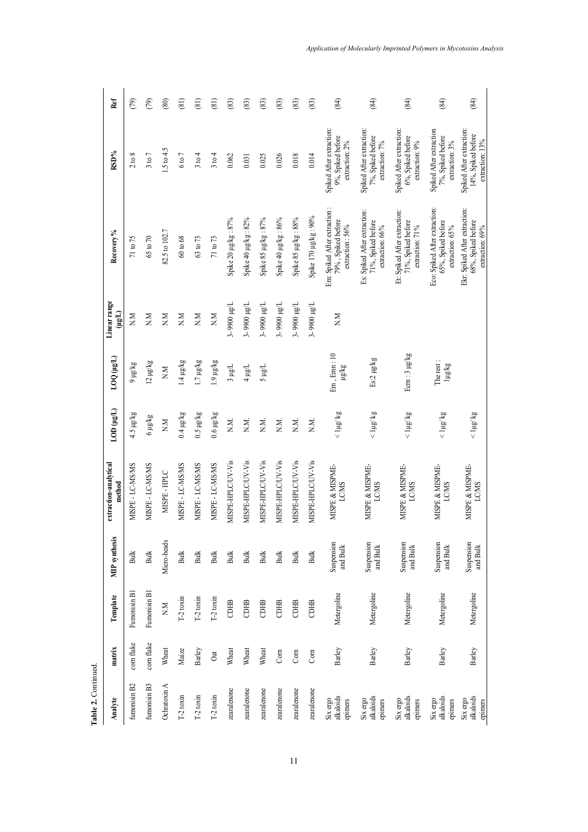| Analyte                          | matrix     | Template                                   | <b>MIP</b> synthesis   | extraction-analytical<br>method | LOD (µg/L)       | LOQ (µg/L)                        | Linear range<br>$(\mu g\mu)$ | Recovery%                                                              | RSD%                                                              | Ref  |
|----------------------------------|------------|--------------------------------------------|------------------------|---------------------------------|------------------|-----------------------------------|------------------------------|------------------------------------------------------------------------|-------------------------------------------------------------------|------|
| fumonisin B2                     | corn flake | Fumonisin B1                               | <b>Bulk</b>            | MISPE - LC-MS/MS                | 4.5 µg/kg        | ayan 6                            | $_{\rm N.M}$                 | 71 to 75                                                               | 2 to 8                                                            | (79) |
| fumonisin B3                     | corn flake | Fumonisin B1                               | Bulk                   | MISPE - LC-MS/MS                | 6 µg/kg          | $12 \mu g/kg$                     | N.M                          | 65 to 70                                                               | 3 to 7                                                            | (79) |
| Ochratoxin A                     | Wheat      | $_{\rm N.M}$                               | Micro-beads            | MISPE-HPLC                      | NN               | $\overline{M}$                    | N.M                          | 82.5 to 102.7                                                          | 1.5 to 4.5                                                        | (80) |
| $T-2$ toxin                      | Maize      | $T-2$ toxin                                | <b>Bulk</b>            | MISPE - LC-MS/MS                | $0.4 \mu g/kg$   | 1.4 µg/kg                         | $_{\rm N,M}$                 | $60 \text{ to } 68$                                                    | 6 to 7                                                            | (81) |
| $T-2$ toxin                      | Barley     | $T-2$ toxin                                | <b>Bulk</b>            | MISPE - LC-MS/MS                | $0.5 \mu g/kg$   | 1.7 µg/kg                         | $_{\rm N.M}$                 | 63 to 73                                                               | 3 to 4                                                            | (81) |
| $T-2$ toxin                      | Oat        | $T-2$ toxin                                | Bulk                   | MISPE-LC-MS/MS                  | $0.6 \mu g/kg$   | gy/andrig                         | NN                           | 71 to 73                                                               | 3 to 4                                                            | (81) |
| zearalenone                      | Wheat      | $\begin{array}{c} 1 \\ 0 \\ 0 \end{array}$ | Bulk                   | MISPE-HPLC/UV-Vis               | N.M.             | 3 µg/L                            | 3-9900 µg/L                  | Spike 20 µg/kg: 87%                                                    | 0.062                                                             | (83) |
| zearalenone                      | Wheat      | CDHB                                       | <b>Bulk</b>            | MISPE-HPLC/UV-Vis               | NN.              | Than t                            | 3-9900 µg/L                  | Spike 40 µg/kg: 82%                                                    | 0.031                                                             | (83) |
| zearalenone                      | Wheat      | CDHB                                       | ${\rm Bulk}$           | MISPE-HPLC/UV-Vis               | N.M.             | Than S                            | 3-9900 µg/L                  | Spike 85 µg/kg: 87%                                                    | 0.025                                                             | (83) |
| zearalenone                      | Corn       | CDHB                                       | <b>Bulk</b>            | MISPE-HPLC/UV-Vis               | N.N.             |                                   | 3-9900 µg/L                  | Spike 40 µg/kg: 86%                                                    | 0.026                                                             | (83) |
| zearalenone                      | Com        | CDHB                                       | ${\rm Bulk}$           | MISPE-HPLC/UV-Vis               | N.N.             |                                   | 3-9900 µg/L                  | Spike 85 µg/kg: 88%                                                    | 0.018                                                             | (83) |
| zearalenone                      | Corn       | CDHB                                       | <b>Bulk</b>            | MISPE-HPLC/UV-Vis               | N.N.             |                                   | 3-9900 µg/L                  | Spike 170 µg/kg: 90%                                                   | 0.014                                                             | (83) |
| alkaloids<br>Six ergo<br>epimers | Barley     | Metergoline                                | Suspension<br>and Bulk | MISPE & MISPME-<br><b>LCMS</b>  | $<$ 1µg/ $kg$    | Em, Emn: 10<br>Fra <sub>k</sub> g | NN                           | Em: Spiked After extraction:<br>79%, Spiked before<br>extraction: 56%  | Spiked After extraction:<br>9%, Spiked before<br>extraction: 2%   | (84) |
| Six ergo<br>alkaloids<br>epimers | Barley     | Metergoline                                | Suspension<br>and Bulk | MISPE & MISPME-<br><b>LCMS</b>  | $<$ 1µg/ $kg$    | Es:2 µg/kg                        |                              | Es: Spiked After extraction:<br>71%, Spiked before<br>extraction: 66%  | Spiked After extraction:<br>7%, Spiked before<br>extraction: 7%   | (84) |
| Six ergo<br>alkaloids<br>epimers | Barley     | Metergoline                                | Suspension<br>and Bulk | MISPE & MISPME-<br><b>LCMS</b>  | $<$ 1µg/ $kg$    | Ecm: 3 µg/kg                      |                              | Et: Spiked After extraction:<br>71%, Spiked before<br>extraction: 71%  | Spiked After extraction:<br>6%, Spiked before<br>extraction: 9%   | (84) |
| Six ergo<br>alkaloids<br>epimers | Barley     | Metergoline                                | Suspension<br>and Bulk | MISPE & MISPME-<br><b>LCMS</b>  | $\leq$ 1µg/ $kg$ | The rest:<br>1µg/kg               |                              | Eco: Spiked After extraction:<br>65%, Spiked before<br>extraction: 65% | Spiked After extraction<br>7%, Spiked before<br>extraction: $3\%$ | (84) |
| alkaloids<br>Six ergo<br>epimers | Barley     | Metergoline                                | Suspension<br>and Bulk | MISPE & MISPME-<br><b>LCMS</b>  | $<$ 1µg/ kg      |                                   |                              | Ekr: Spiked After extraction:<br>68%, Spiked before<br>extraction: 69% | Spiked After extraction:<br>14%, Spiked before<br>extraction: 13% | (84) |

Table 2. Continued. **Table 2.** Continued.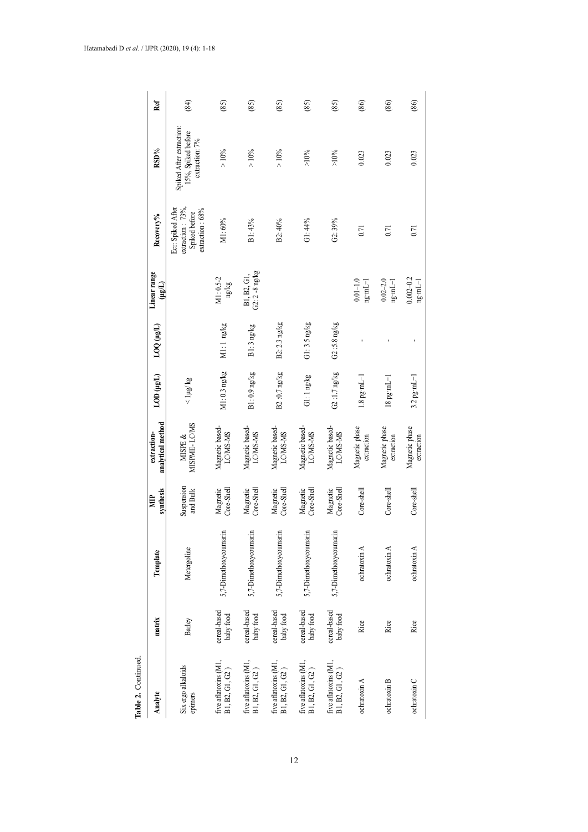| Table 2. Continued.                                  |                           |                       |                        |                                  |                          |                |                                                                  |                                                                               |                                                                  |      |
|------------------------------------------------------|---------------------------|-----------------------|------------------------|----------------------------------|--------------------------|----------------|------------------------------------------------------------------|-------------------------------------------------------------------------------|------------------------------------------------------------------|------|
| Analyte                                              | matrix                    | Template              | synthesis<br>冒         | analytical method<br>extraction- | LOD (µg/L)               | LOQ (µg/L)     | Linear range<br>(ugl.)                                           | Recovery%                                                                     | RSD%                                                             | Ref  |
| Six ergo alkaloids<br>epimers                        | Barley                    | Metergoline           | Suspension<br>and Bulk | MISPME-LCMS<br>MISPE $\&$        | $<$ 1µg/ kg              |                |                                                                  | extraction: $73\%$ ,<br>Ecr: Spiked After<br>extraction: 68%<br>Spiked before | Spiked After extraction:<br>15%, Spiked before<br>extraction: 7% | (84) |
| five aflatoxins (M1,<br>$\rm B1,\, B2,\, G1,\, G2$ ) | cereal-based<br>baby food | 5,7-Dimethoxycoumarin | Core-Shell<br>Magnetic | Magnetic based-<br>LC/MS-MS      | M1: 0.3 ng/kg            | M1:1 ng/kg     | M1:0.5-2<br>ng/kg                                                | M1:60%                                                                        | $>10\%$                                                          | (85) |
| five aflatoxins (M1,<br>B1, B2, G1, G2)              | cereal-based<br>baby food | 5,7-Dimethoxycoumarin | Magnetic<br>Core-Shell | Magnetic based-<br>LC/MS-MS      | $B1:0.9$ ng/kg           | B1: 3 ng/kg    | $G2:2 - 8$ ng/kg<br>B1, B2, G1,                                  | B1:43%                                                                        | $>10\%$                                                          | (85) |
| five aflatoxins (M1,<br>B1, B2, G1, G2)              | cereal-based<br>baby food | 5,7-Dimethoxycoumarin | Core-Shell<br>Magnetic | Magnetic based-<br>LC/MS-MS      | B2 :0.7 ng/kg            | B2:2.3 ng/kg   |                                                                  | B2: 40%                                                                       | > 10%                                                            | (85) |
| five aflatoxins (M1,<br>B1, B2, G1, G2)              | cereal-based<br>baby food | 5,7-Dimethoxycoumarin | Core-Shell<br>Magnetic | Magnetic based-<br>LC/MS-MS      | Gl: 1 ng/kg              | $Gl:3.5$ ng/kg |                                                                  | G1:44%                                                                        | >10%                                                             | (85) |
| five aflatoxins (M1,<br>B1, B2, G1, G2)              | cereal-based<br>baby food | 5,7-Dimethoxycoumarin | Core-Shell<br>Magnetic | Magnetic based-<br>LC/MS-MS      | G2:1.7 ng/kg             | $G2:5.8$ ng/kg |                                                                  | G2:39%                                                                        | $>10\%$                                                          | (85) |
| ochratoxin A                                         | Rice                      | ochratoxin A          | Core-shell             | Magnetic phase<br>extraction     | $1.8$ pg·mL $-1$         |                | $0.01 - 1.0$<br>$n\mathbf{g} \cdot mL-1$                         | 0.71                                                                          | 0.023                                                            | (86) |
| ochratoxin B                                         | Rice                      | ochratoxin A          | Core-shell             | Magnetic phase<br>extraction     | $18$ pg $\mathrm{mJ}$ -1 |                | $0.02 - 2.0$<br>$\mathtt{ng} {\cdot} \mathtt{ml} {-} \mathtt{l}$ | 0.71                                                                          | 0.023                                                            | (86) |
| ochratoxin C                                         | Rice                      | ochratoxin A          | Core-shell             | Magnetic phase<br>extraction     | $3.2$ pg·mL-1            |                | $0.002 - 0.2$<br>$ng \cdot mL-1$                                 | 0.71                                                                          | 0.023                                                            | (86) |

# 12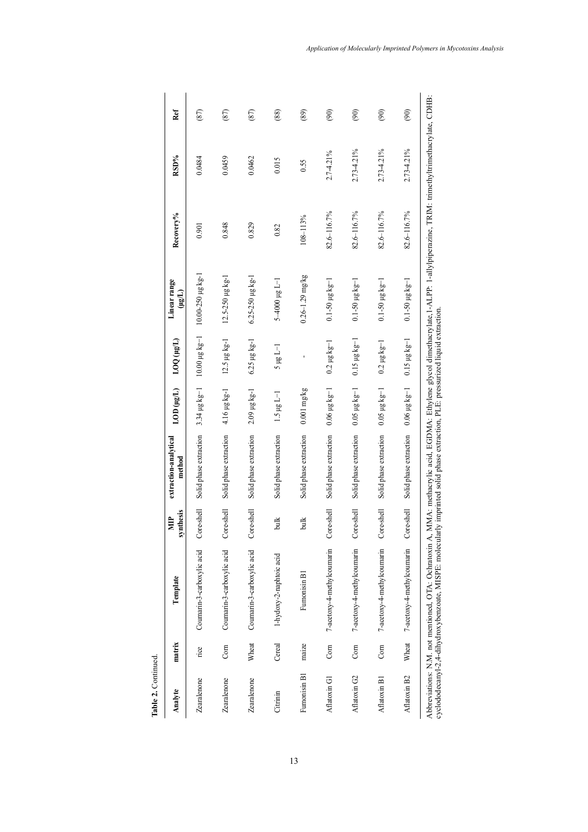| Table 2. Continued |        |                                                                                                                                                                                        |                         |                                                                                                                               |                                       |                                |                                              |             |            |      |
|--------------------|--------|----------------------------------------------------------------------------------------------------------------------------------------------------------------------------------------|-------------------------|-------------------------------------------------------------------------------------------------------------------------------|---------------------------------------|--------------------------------|----------------------------------------------|-------------|------------|------|
| Analyte            | matrix | Template                                                                                                                                                                               | synthesis<br><b>NID</b> | extraction-analytical<br>method                                                                                               | LOD (µg/L)                            | (Tail) 001                     | Linear range<br>$(L\mathbf{S}^{\mathbf{H}})$ | Recovery%   | RSD%       | Ref  |
| Zearalenone        | rice   | Coumarin-3-carboxylic acid                                                                                                                                                             | Core-shell              | Solid phase extraction                                                                                                        | $3.34 \mu g kg^{-1}$                  | $10.00 \,\mu g \,\text{kg}$ -1 | $10.00 - 250$ µg kg-1                        | 0.901       | 0.0484     | (87) |
| Zearalenone        | Com    | Coumarin-3-carboxylic acid                                                                                                                                                             | $Core-shell$            | Solid phase extraction                                                                                                        | 4.16 µg kg-1                          | $12.5 \,\mu g \,\text{kg}$ -1  | $12.5 - 250 \mu g kg - 1$                    | 0.848       | 0.0459     | (87) |
| Zearalenone        | Wheat  | Coumarin-3-carboxylic acid                                                                                                                                                             | Core-shell              | Solid phase extraction                                                                                                        | 2.09 µg kg-1                          | 6.25 µg kg-1                   | $6.25 - 250 \mu g kg - 1$                    | 0.829       | 0.0462     | (87) |
| Citrinin           | Cereal | 1-hydoxy-2-naphtoic acid                                                                                                                                                               | bulk                    | Solid phase extraction                                                                                                        | $1.5 \mu g L - 1$                     | $1-1$ gu $5$                   | $1 - 1$ 8rd 000 $+5$                         | 0.82        | 0.015      | (88) |
| Fumonisin B1       | maize  | Fumonisin B1                                                                                                                                                                           | bulk                    | Solid phase extraction                                                                                                        | $0.001$ mg/kg                         |                                | $0.26 - 1.29$ mg/kg                          | 108-113%    | 0.55       | (89) |
| Aflatoxin G1       | Corn   | 7-acetoxy-4-methylcoumarin                                                                                                                                                             | Core-shell              | Solid phase extraction                                                                                                        | $0.06 \mu g kg - 1$                   | $0.2 \ \mu g \ kg^{-1}$        | $0.1 - 50 \mu g kg - 1$                      | 82.6-116.7% | 2.7-4.21%  | (90) |
| Aflatoxin G2       | Corn   | 7-acetoxy-4-methylcoumarin                                                                                                                                                             | Core-shell              | Solid phase extraction                                                                                                        | $0.05 \mu g kg - 1$                   | $0.15 \mu g kg$ -1             | $0.1 - 50 \mu g kg - 1$                      | 82.6-116.7% | 2.73-4.21% | (90) |
| Aflatoxin B1       | Corn   | 7-acetoxy-4-methylcoumarin                                                                                                                                                             | Core-shell              | Solid phase extraction                                                                                                        | $0.05 \ \mu g \ kg - 1$               | $0.2 \mu g kg - 1$             | $0.1 - 50 \mu g kg - 1$                      | 82.6-116.7% | 2.73-4.21% | (90) |
| Aflatoxin B2       | Wheat  | 7-acetoxy-4-methylcoumarin                                                                                                                                                             | Core-shell              | Solid phase extraction                                                                                                        | $0.06 \,\mathrm{µg} \,\mathrm{kg}$ -1 | $0.15 \mu g kg^{-1}$           | $0.1 - 50 \mu g kg - 1$                      | 82.6-116.7% | 2.73-4.21% | (90) |
|                    |        | cyclododecanyl-2,4-dihydroxybenzoate, MISPE: molecularly imprinted solid phase extraction, PLE: pressurized liquid extraction<br>Abbreviations: N.M. not mentioned, OTA: Ochratoxin A, |                         | MMA: methacrylic acid, EGDMA: Ethylene glycol dimethacrylate,1-ALPP: 1-allylpiperazine, TRIM: trimethyltrimethacrylate, CDHB: |                                       |                                |                                              |             |            |      |

13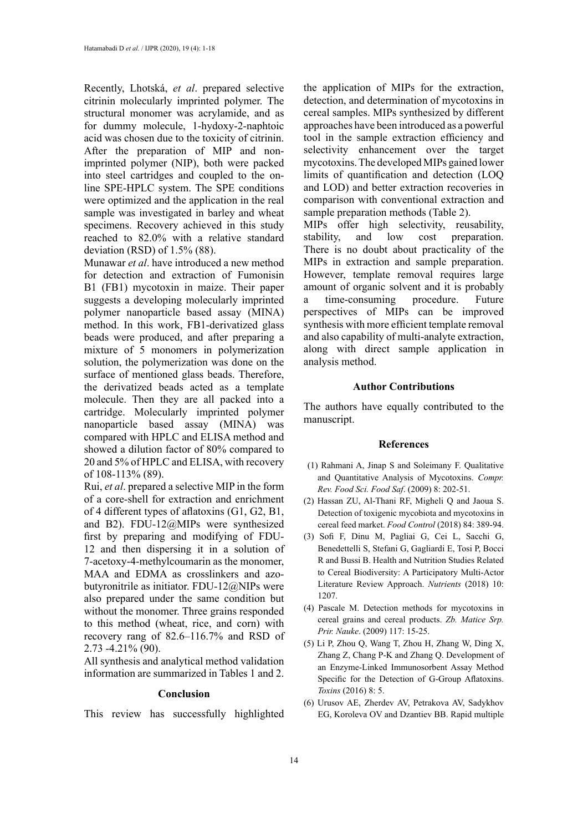Recently, Lhotská, *et al*. prepared selective citrinin molecularly imprinted polymer. The structural monomer was acrylamide, and as for dummy molecule, 1-hydoxy-2-naphtoic acid was chosen due to the toxicity of citrinin. After the preparation of MIP and nonimprinted polymer (NIP), both were packed into steel cartridges and coupled to the online SPE-HPLC system. The SPE conditions were optimized and the application in the real sample was investigated in barley and wheat specimens. Recovery achieved in this study reached to 82.0% with a relative standard deviation (RSD) of 1.5% (88).

Munawar *et al*. have introduced a new method for detection and extraction of Fumonisin B1 (FB1) mycotoxin in maize. Their paper suggests a developing molecularly imprinted polymer nanoparticle based assay (MINA) method. In this work, FB1-derivatized glass beads were produced, and after preparing a mixture of 5 monomers in polymerization solution, the polymerization was done on the surface of mentioned glass beads. Therefore, the derivatized beads acted as a template molecule. Then they are all packed into a cartridge. Molecularly imprinted polymer nanoparticle based assay (MINA) was compared with HPLC and ELISA method and showed a dilution factor of 80% compared to 20 and 5% of HPLC and ELISA, with recovery of 108-113% (89).

Rui, *et al*. prepared a selective MIP in the form of a core-shell for extraction and enrichment of 4 different types of aflatoxins (G1, G2, B1, and B2). FDU-12@MIPs were synthesized first by preparing and modifying of FDU-12 and then dispersing it in a solution of 7-acetoxy-4-methylcoumarin as the monomer, MAA and EDMA as crosslinkers and azobutyronitrile as initiator. FDU-12@NIPs were also prepared under the same condition but without the monomer. Three grains responded to this method (wheat, rice, and corn) with recovery rang of 82.6–116.7% and RSD of 2.73 -4.21% (90).

All synthesis and analytical method validation information are summarized in Tables 1 and 2.

## **Conclusion**

This review has successfully highlighted

the application of MIPs for the extraction, detection, and determination of mycotoxins in cereal samples. MIPs synthesized by different approaches have been introduced as a powerful tool in the sample extraction efficiency and selectivity enhancement over the target mycotoxins. The developed MIPs gained lower limits of quantification and detection (LOQ and LOD) and better extraction recoveries in comparison with conventional extraction and sample preparation methods (Table 2).

MIPs offer high selectivity, reusability, stability, and low cost preparation. There is no doubt about practicality of the MIPs in extraction and sample preparation. However, template removal requires large amount of organic solvent and it is probably a time-consuming procedure. Future perspectives of MIPs can be improved synthesis with more efficient template removal and also capability of multi-analyte extraction, along with direct sample application in analysis method.

## **Author Contributions**

The authors have equally contributed to the manuscript.

#### **References**

- (1) Rahmani A, Jinap S and Soleimany F. Qualitative and Quantitative Analysis of Mycotoxins. *Compr. Rev. Food Sci. Food Saf*. (2009) 8: 202-51.
- (2) Hassan ZU, Al-Thani RF, Migheli Q and Jaoua S. Detection of toxigenic mycobiota and mycotoxins in cereal feed market. *Food Control* (2018) 84: 389-94.
- (3) Sofi F, Dinu M, Pagliai G, Cei L, Sacchi G, Benedettelli S, Stefani G, Gagliardi E, Tosi P, Bocci R and Bussi B. Health and Nutrition Studies Related to Cereal Biodiversity: A Participatory Multi-Actor Literature Review Approach. *Nutrients* (2018) 10: 1207.
- (4) Pascale M. Detection methods for mycotoxins in cereal grains and cereal products. *Zb. Matice Srp. Prir. Nauke*. (2009) 117: 15-25.
- (5) Li P, Zhou Q, Wang T, Zhou H, Zhang W, Ding X, Zhang Z, Chang P-K and Zhang Q. Development of an Enzyme-Linked Immunosorbent Assay Method Specific for the Detection of G-Group Aflatoxins. *Toxins* (2016) 8: 5.
- (6) Urusov AE, Zherdev AV, Petrakova AV, Sadykhov EG, Koroleva OV and Dzantiev BB. Rapid multiple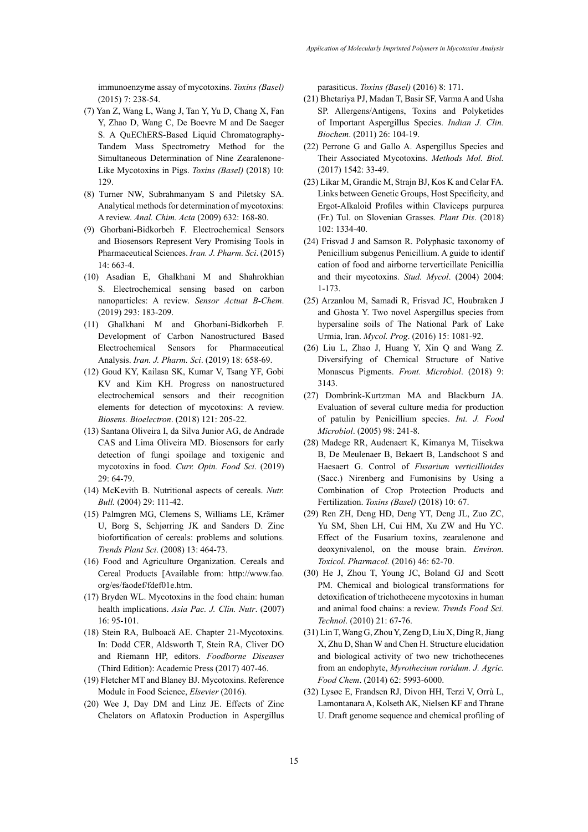immunoenzyme assay of mycotoxins. *Toxins (Basel)* (2015) 7: 238-54.

- (7) Yan Z, Wang L, Wang J, Tan Y, Yu D, Chang X, Fan Y, Zhao D, Wang C, De Boevre M and De Saeger S. A QuEChERS-Based Liquid Chromatography-Tandem Mass Spectrometry Method for the Simultaneous Determination of Nine Zearalenone-Like Mycotoxins in Pigs. *Toxins (Basel)* (2018) 10: 129.
- (8) Turner NW, Subrahmanyam S and Piletsky SA. Analytical methods for determination of mycotoxins: A review. *Anal. Chim. Acta* (2009) 632: 168-80.
- (9) Ghorbani-Bidkorbeh F. Electrochemical Sensors and Biosensors Represent Very Promising Tools in Pharmaceutical Sciences. *Iran. J. Pharm. Sci*. (2015) 14: 663-4.
- (10) Asadian E, Ghalkhani M and Shahrokhian S. Electrochemical sensing based on carbon nanoparticles: A review. *Sensor Actuat B-Chem*. (2019) 293: 183-209.
- (11) Ghalkhani M and Ghorbani-Bidkorbeh F. Development of Carbon Nanostructured Based Electrochemical Sensors for Pharmaceutical Analysis. *Iran. J. Pharm. Sci*. (2019) 18: 658-69.
- (12) Goud KY, Kailasa SK, Kumar V, Tsang YF, Gobi KV and Kim KH. Progress on nanostructured electrochemical sensors and their recognition elements for detection of mycotoxins: A review. *Biosens. Bioelectron*. (2018) 121: 205-22.
- (13) Santana Oliveira I, da Silva Junior AG, de Andrade CAS and Lima Oliveira MD. Biosensors for early detection of fungi spoilage and toxigenic and mycotoxins in food. *Curr. Opin. Food Sci*. (2019) 29: 64-79.
- (14) McKevith B. Nutritional aspects of cereals. *Nutr. Bull.* (2004) 29: 111-42.
- (15) Palmgren MG, Clemens S, Williams LE, Krämer U, Borg S, Schjørring JK and Sanders D. Zinc biofortification of cereals: problems and solutions. *Trends Plant Sci*. (2008) 13: 464-73.
- (16) Food and Agriculture Organization. Cereals and Cereal Products [Available from: http://www.fao. org/es/faodef/fdef01e.htm.
- (17) Bryden WL. Mycotoxins in the food chain: human health implications. *Asia Pac. J. Clin. Nutr*. (2007) 16: 95-101.
- (18) Stein RA, Bulboacӑ AE. Chapter 21-Mycotoxins. In: Dodd CER, Aldsworth T, Stein RA, Cliver DO and Riemann HP, editors. *Foodborne Diseases* (Third Edition): Academic Press (2017) 407-46.
- (19) Fletcher MT and Blaney BJ. Mycotoxins. Reference Module in Food Science, *Elsevier* (2016).
- (20) Wee J, Day DM and Linz JE. Effects of Zinc Chelators on Aflatoxin Production in Aspergillus

parasiticus. *Toxins (Basel)* (2016) 8: 171.

- (21) Bhetariya PJ, Madan T, Basir SF, Varma A and Usha SP. Allergens/Antigens, Toxins and Polyketides of Important Aspergillus Species. *Indian J. Clin. Biochem*. (2011) 26: 104-19.
- (22) Perrone G and Gallo A. Aspergillus Species and Their Associated Mycotoxins. *Methods Mol. Biol.*  (2017) 1542: 33-49.
- (23) Likar M, Grandic M, Strajn BJ, Kos K and Celar FA. Links between Genetic Groups, Host Specificity, and Ergot-Alkaloid Profiles within Claviceps purpurea (Fr.) Tul. on Slovenian Grasses. *Plant Dis*. (2018) 102: 1334-40.
- (24) Frisvad J and Samson R. Polyphasic taxonomy of Penicillium subgenus Penicillium. A guide to identif cation of food and airborne terverticillate Penicillia and their mycotoxins. *Stud. Mycol*. (2004) 2004: 1-173.
- (25) Arzanlou M, Samadi R, Frisvad JC, Houbraken J and Ghosta Y. Two novel Aspergillus species from hypersaline soils of The National Park of Lake Urmia, Iran. *Mycol. Prog*. (2016) 15: 1081-92.
- (26) Liu L, Zhao J, Huang Y, Xin Q and Wang Z. Diversifying of Chemical Structure of Native Monascus Pigments. *Front. Microbiol*. (2018) 9: 3143.
- (27) Dombrink-Kurtzman MA and Blackburn JA. Evaluation of several culture media for production of patulin by Penicillium species. *Int. J. Food Microbiol*. (2005) 98: 241-8.
- (28) Madege RR, Audenaert K, Kimanya M, Tiisekwa B, De Meulenaer B, Bekaert B, Landschoot S and Haesaert G. Control of *Fusarium verticillioides* (Sacc.) Nirenberg and Fumonisins by Using a Combination of Crop Protection Products and Fertilization. *Toxins (Basel)* (2018) 10: 67.
- (29) Ren ZH, Deng HD, Deng YT, Deng JL, Zuo ZC, Yu SM, Shen LH, Cui HM, Xu ZW and Hu YC. Effect of the Fusarium toxins, zearalenone and deoxynivalenol, on the mouse brain. *Environ. Toxicol. Pharmacol.* (2016) 46: 62-70.
- (30) He J, Zhou T, Young JC, Boland GJ and Scott PM. Chemical and biological transformations for detoxification of trichothecene mycotoxins in human and animal food chains: a review. *Trends Food Sci. Technol*. (2010) 21: 67-76.
- (31) Lin T, Wang G, Zhou Y, Zeng D, Liu X, Ding R, Jiang X, Zhu D, Shan W and Chen H. Structure elucidation and biological activity of two new trichothecenes from an endophyte, *Myrothecium roridum. J. Agric. Food Chem*. (2014) 62: 5993-6000.
- (32) Lysøe E, Frandsen RJ, Divon HH, Terzi V, Orrù L, Lamontanara A, Kolseth AK, Nielsen KF and Thrane U. Draft genome sequence and chemical profiling of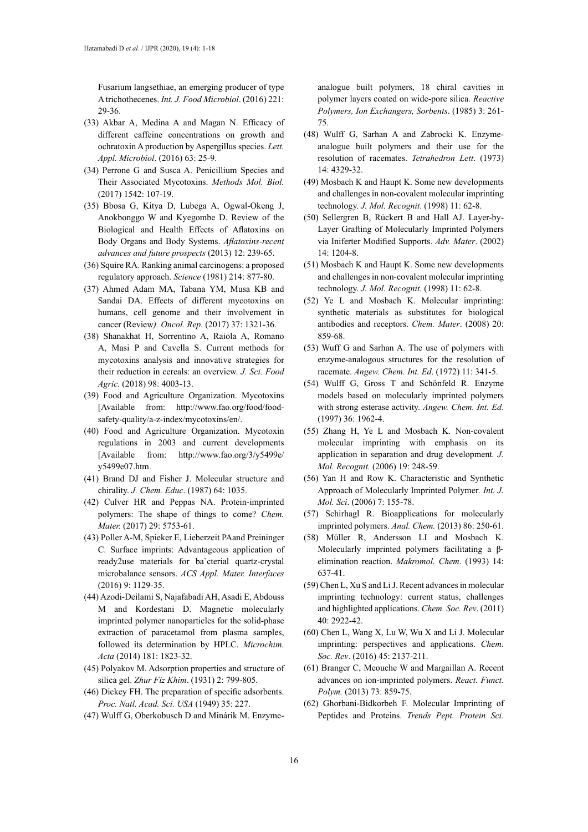Fusarium langsethiae, an emerging producer of type A trichothecenes. *Int. J. Food Microbiol*. (2016) 221: 29-36.

- (33) Akbar A, Medina A and Magan N. Efficacy of different caffeine concentrations on growth and ochratoxin A production by Aspergillus species. *Lett. Appl. Microbiol*. (2016) 63: 25-9.
- (34) Perrone G and Susca A. Penicillium Species and Their Associated Mycotoxins. *Methods Mol. Biol.* (2017) 1542: 107-19.
- (35) Bbosa G, Kitya D, Lubega A, Ogwal-Okeng J, Anokbonggo W and Kyegombe D. Review of the Biological and Health Effects of Aflatoxins on Body Organs and Body Systems. *Aflatoxins-recent advances and future prospects* (2013) 12: 239-65.
- (36) Squire RA. Ranking animal carcinogens: a proposed regulatory approach. *Science* (1981) 214: 877-80.
- (37) Ahmed Adam MA, Tabana YM, Musa KB and Sandai DA. Effects of different mycotoxins on humans, cell genome and their involvement in cancer (Review*). Oncol. Rep*. (2017) 37: 1321-36.
- (38) Shanakhat H, Sorrentino A, Raiola A, Romano A, Masi P and Cavella S. Current methods for mycotoxins analysis and innovative strategies for their reduction in cereals: an overview. *J. Sci. Food Agric.* (2018) 98: 4003-13.
- (39) Food and Agriculture Organization. Mycotoxins [Available from: http://www.fao.org/food/foodsafety-quality/a-z-index/mycotoxins/en/.
- (40) Food and Agriculture Organization. Mycotoxin regulations in 2003 and current developments [Available from: http://www.fao.org/3/y5499e/ y5499e07.htm.
- (41) Brand DJ and Fisher J. Molecular structure and chirality. *J. Chem. Educ*. (1987) 64: 1035.
- (42) Culver HR and Peppas NA. Protein-imprinted polymers: The shape of things to come? *Chem. Mater.* (2017) 29: 5753-61.
- (43) Poller A-M, Spieker E, Lieberzeit PAand Preininger C. Surface imprints: Advantageous application of ready2use materials for ba`cterial quartz-crystal microbalance sensors. *ACS Appl. Mater. Interfaces* (2016) 9: 1129-35.
- (44) Azodi-Deilami S, Najafabadi AH, Asadi E, Abdouss M and Kordestani D. Magnetic molecularly imprinted polymer nanoparticles for the solid-phase extraction of paracetamol from plasma samples, followed its determination by HPLC. *Microchim. Acta* (2014) 181: 1823-32.
- (45) Polyakov M. Adsorption properties and structure of silica gel. *Zhur Fiz Khim*. (1931) 2: 799-805.
- (46) Dickey FH. The preparation of specific adsorbents. *Proc. Natl. Acad. Sci. USA* (1949) 35: 227.
- (47) Wulff G, Oberkobusch D and Minárik M. Enzyme-

analogue built polymers, 18 chiral cavities in polymer layers coated on wide-pore silica. *Reactive Polymers, Ion Exchangers, Sorbents*. (1985) 3: 261- 75.

- (48) Wulff G, Sarhan A and Zabrocki K. Enzymeanalogue built polymers and their use for the resolution of racemates. *Tetrahedron Lett*. (1973) 14: 4329-32.
- (49) Mosbach K and Haupt K. Some new developments and challenges in non-covalent molecular imprinting technology. *J. Mol. Recognit*. (1998) 11: 62-8.
- (50) Sellergren B, Rückert B and Hall AJ. Layer-by-Layer Grafting of Molecularly Imprinted Polymers via Iniferter Modified Supports. *Adv. Mater*. (2002) 14: 1204-8.
- (51) Mosbach K and Haupt K. Some new developments and challenges in non‐covalent molecular imprinting technology. *J. Mol. Recognit*. (1998) 11: 62-8.
- (52) Ye L and Mosbach K. Molecular imprinting: synthetic materials as substitutes for biological antibodies and receptors. *Chem. Mater*. (2008) 20: 859-68.
- (53) Wuff G and Sarhan A. The use of polymers with enzyme-analogous structures for the resolution of racemate. *Angew. Chem. Int. Ed*. (1972) 11: 341-5.
- (54) Wulff G, Gross T and Schönfeld R. Enzyme models based on molecularly imprinted polymers with strong esterase activity. *Angew. Chem. Int. Ed*. (1997) 36: 1962-4.
- (55) Zhang H, Ye L and Mosbach K. Non‐covalent molecular imprinting with emphasis on its application in separation and drug development*. J. Mol. Recognit.* (2006) 19: 248-59.
- (56) Yan H and Row K. Characteristic and Synthetic Approach of Molecularly Imprinted Polymer*. Int. J. Mol. Sci*. (2006) 7: 155-78.
- (57) Schirhagl R. Bioapplications for molecularly imprinted polymers. *Anal. Chem.* (2013) 86: 250-61.
- (58) Müller R, Andersson LI and Mosbach K. Molecularly imprinted polymers facilitating a βelimination reaction. *Makromol. Chem*. (1993) 14: 637-41.
- (59) Chen L, Xu S and Li J. Recent advances in molecular imprinting technology: current status, challenges and highlighted applications. *Chem. Soc. Rev*. (2011) 40: 2922-42.
- (60) Chen L, Wang X, Lu W, Wu X and Li J. Molecular imprinting: perspectives and applications. *Chem. Soc. Rev*. (2016) 45: 2137-211.
- (61) Branger C, Meouche W and Margaillan A. Recent advances on ion-imprinted polymers. *React. Funct. Polym.* (2013) 73: 859-75.
- (62) Ghorbani-Bidkorbeh F. Molecular Imprinting of Peptides and Proteins. *Trends Pept. Protein Sci.*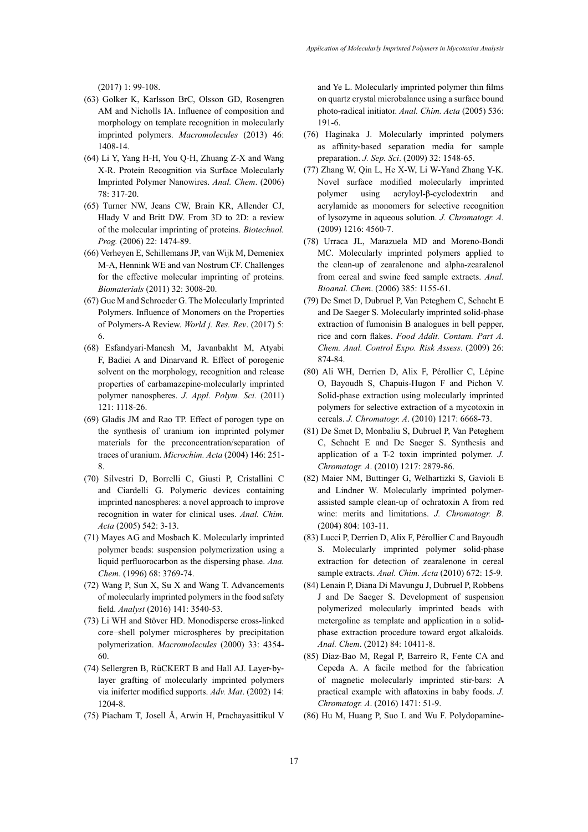(2017) 1: 99-108.

- (63) Golker K, Karlsson BrC, Olsson GD, Rosengren AM and Nicholls IA. Influence of composition and morphology on template recognition in molecularly imprinted polymers. *Macromolecules* (2013) 46: 1408-14.
- (64) Li Y, Yang H-H, You Q-H, Zhuang Z-X and Wang X-R. Protein Recognition via Surface Molecularly Imprinted Polymer Nanowires. *Anal. Chem*. (2006) 78: 317-20.
- (65) Turner NW, Jeans CW, Brain KR, Allender CJ, Hlady V and Britt DW. From 3D to 2D: a review of the molecular imprinting of proteins. *Biotechnol. Prog.* (2006) 22: 1474-89.
- (66) Verheyen E, Schillemans JP, van Wijk M, Demeniex M-A, Hennink WE and van Nostrum CF. Challenges for the effective molecular imprinting of proteins. *Biomaterials* (2011) 32: 3008-20.
- (67) Guc M and Schroeder G. The Molecularly Imprinted Polymers. Influence of Monomers on the Properties of Polymers-A Review. *World j. Res. Rev*. (2017) 5: 6.
- (68) Esfandyari‐Manesh M, Javanbakht M, Atyabi F, Badiei A and Dinarvand R. Effect of porogenic solvent on the morphology, recognition and release properties of carbamazepine‐molecularly imprinted polymer nanospheres. *J. Appl. Polym. Sci.* (2011) 121: 1118-26.
- (69) Gladis JM and Rao TP. Effect of porogen type on the synthesis of uranium ion imprinted polymer materials for the preconcentration/separation of traces of uranium. *Microchim. Acta* (2004) 146: 251- 8.
- (70) Silvestri D, Borrelli C, Giusti P, Cristallini C and Ciardelli G. Polymeric devices containing imprinted nanospheres: a novel approach to improve recognition in water for clinical uses. *Anal. Chim. Acta* (2005) 542: 3-13.
- (71) Mayes AG and Mosbach K. Molecularly imprinted polymer beads: suspension polymerization using a liquid perfluorocarbon as the dispersing phase. *Ana. Chem*. (1996) 68: 3769-74.
- (72) Wang P, Sun X, Su X and Wang T. Advancements of molecularly imprinted polymers in the food safety field. *Analyst* (2016) 141: 3540-53.
- (73) Li WH and Stöver HD. Monodisperse cross-linked core−shell polymer microspheres by precipitation polymerization. *Macromolecules* (2000) 33: 4354- 60.
- (74) Sellergren B, RüCKERT B and Hall AJ. Layer‐by‐ layer grafting of molecularly imprinted polymers via iniferter modified supports. *Adv. Mat*. (2002) 14: 1204-8.
- (75) Piacham T, Josell Å, Arwin H, Prachayasittikul V

and Ye L. Molecularly imprinted polymer thin films on quartz crystal microbalance using a surface bound photo-radical initiator. *Anal. Chim. Acta* (2005) 536: 191-6.

- (76) Haginaka J. Molecularly imprinted polymers as affinity‐based separation media for sample preparation. *J. Sep. Sci*. (2009) 32: 1548-65.
- (77) Zhang W, Qin L, He X-W, Li W-Yand Zhang Y-K. Novel surface modified molecularly imprinted polymer using acryloyl-β-cyclodextrin and acrylamide as monomers for selective recognition of lysozyme in aqueous solution. *J. Chromatogr. A*. (2009) 1216: 4560-7.
- (78) Urraca JL, Marazuela MD and Moreno-Bondi MC. Molecularly imprinted polymers applied to the clean-up of zearalenone and alpha-zearalenol from cereal and swine feed sample extracts. *Anal. Bioanal. Chem*. (2006) 385: 1155-61.
- (79) De Smet D, Dubruel P, Van Peteghem C, Schacht E and De Saeger S. Molecularly imprinted solid-phase extraction of fumonisin B analogues in bell pepper, rice and corn flakes. *Food Addit. Contam. Part A. Chem. Anal. Control Expo. Risk Assess*. (2009) 26: 874-84.
- (80) Ali WH, Derrien D, Alix F, Pérollier C, Lépine O, Bayoudh S, Chapuis-Hugon F and Pichon V. Solid-phase extraction using molecularly imprinted polymers for selective extraction of a mycotoxin in cereals. *J. Chromatogr. A*. (2010) 1217: 6668-73.
- (81) De Smet D, Monbaliu S, Dubruel P, Van Peteghem C, Schacht E and De Saeger S. Synthesis and application of a T-2 toxin imprinted polymer. *J. Chromatogr. A*. (2010) 1217: 2879-86.
- (82) Maier NM, Buttinger G, Welhartizki S, Gavioli E and Lindner W. Molecularly imprinted polymerassisted sample clean-up of ochratoxin A from red wine: merits and limitations. *J. Chromatogr. B*. (2004) 804: 103-11.
- (83) Lucci P, Derrien D, Alix F, Pérollier C and Bayoudh S. Molecularly imprinted polymer solid-phase extraction for detection of zearalenone in cereal sample extracts. *Anal. Chim. Acta* (2010) 672: 15-9.
- (84) Lenain P, Diana Di Mavungu J, Dubruel P, Robbens J and De Saeger S. Development of suspension polymerized molecularly imprinted beads with metergoline as template and application in a solidphase extraction procedure toward ergot alkaloids. *Anal. Chem*. (2012) 84: 10411-8.
- (85) Díaz-Bao M, Regal P, Barreiro R, Fente CA and Cepeda A. A facile method for the fabrication of magnetic molecularly imprinted stir-bars: A practical example with aflatoxins in baby foods. *J. Chromatogr. A*. (2016) 1471: 51-9.
- (86) Hu M, Huang P, Suo L and Wu F. Polydopamine-